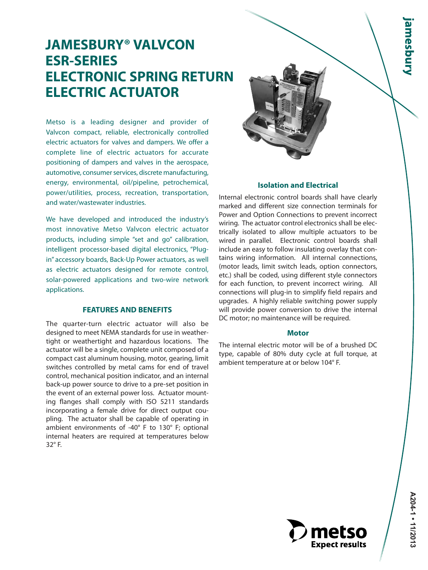# **JAMESBURY® VALVCON ESR-SERIES ELECTRONIC SPRING RETURN ELECTRIC ACTUATOR**

Metso is a leading designer and provider of Valvcon compact, reliable, electronically controlled electric actuators for valves and dampers. We offer a complete line of electric actuators for accurate positioning of dampers and valves in the aerospace, automotive, consumer services, discrete manufacturing, energy, environmental, oil/pipeline, petrochemical, power/utilities, process, recreation, transportation, and water/wastewater industries.

We have developed and introduced the industry's most innovative Metso Valvcon electric actuator products, including simple "set and go" calibration, intelligent processor-based digital electronics, "Plugin" accessory boards, Back-Up Power actuators, as well as electric actuators designed for remote control, solar-powered applications and two-wire network applications.

#### **FEATURES AND BENEFITS**

The quarter-turn electric actuator will also be designed to meet NEMA standards for use in weathertight or weathertight and hazardous locations. The actuator will be a single, complete unit composed of a compact cast aluminum housing, motor, gearing, limit switches controlled by metal cams for end of travel control, mechanical position indicator, and an internal back-up power source to drive to a pre-set position in the event of an external power loss. Actuator mounting flanges shall comply with ISO 5211 standards incorporating a female drive for direct output coupling. The actuator shall be capable of operating in ambient environments of -40° F to 130° F; optional internal heaters are required at temperatures below 32° F.



#### **Isolation and Electrical**

Internal electronic control boards shall have clearly marked and different size connection terminals for Power and Option Connections to prevent incorrect wiring. The actuator control electronics shall be electrically isolated to allow multiple actuators to be wired in parallel. Electronic control boards shall include an easy to follow insulating overlay that contains wiring information. All internal connections, (motor leads, limit switch leads, option connectors, etc.) shall be coded, using different style connectors for each function, to prevent incorrect wiring. All connections will plug-in to simplify field repairs and upgrades. A highly reliable switching power supply will provide power conversion to drive the internal DC motor; no maintenance will be required.

#### **Motor**

The internal electric motor will be of a brushed DC type, capable of 80% duty cycle at full torque, at ambient temperature at or below 104° F.

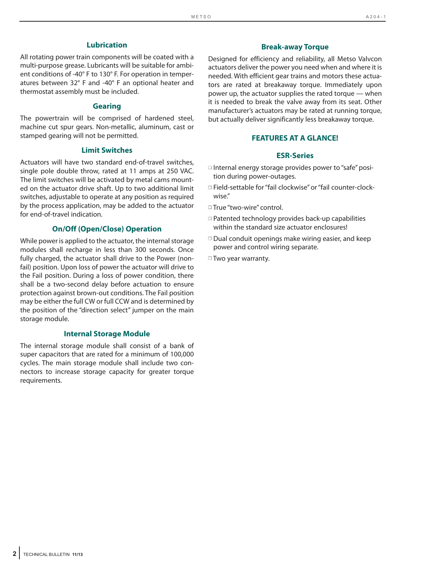#### **Lubrication**

All rotating power train components will be coated with a multi-purpose grease. Lubricants will be suitable for ambient conditions of -40° F to 130° F. For operation in temperatures between 32° F and -40° F an optional heater and thermostat assembly must be included.

#### **Gearing**

The powertrain will be comprised of hardened steel, machine cut spur gears. Non-metallic, aluminum, cast or stamped gearing will not be permitted.

#### **Limit Switches**

Actuators will have two standard end-of-travel switches, single pole double throw, rated at 11 amps at 250 VAC. The limit switches will be activated by metal cams mounted on the actuator drive shaft. Up to two additional limit switches, adjustable to operate at any position as required by the process application, may be added to the actuator for end-of-travel indication.

#### **On/Off (Open/Close) Operation**

While power is applied to the actuator, the internal storage modules shall recharge in less than 300 seconds. Once fully charged, the actuator shall drive to the Power (nonfail) position. Upon loss of power the actuator will drive to the Fail position. During a loss of power condition, there shall be a two-second delay before actuation to ensure protection against brown-out conditions. The Fail position may be either the full CW or full CCW and is determined by the position of the "direction select" jumper on the main storage module.

#### **Internal Storage Module**

The internal storage module shall consist of a bank of super capacitors that are rated for a minimum of 100,000 cycles. The main storage module shall include two connectors to increase storage capacity for greater torque requirements.

#### **Break-away Torque**

Designed for efficiency and reliability, all Metso Valvcon actuators deliver the power you need when and where it is needed. With efficient gear trains and motors these actuators are rated at breakaway torque. Immediately upon power up, the actuator supplies the rated torque — when it is needed to break the valve away from its seat. Other manufacturer's actuators may be rated at running torque, but actually deliver significantly less breakaway torque.

#### **FEATURES AT A GLANCE!**

#### **ESR-Series**

- □ Internal energy storage provides power to "safe" position during power-outages.
- □ Field-settable for "fail clockwise" or "fail counter-clockwise."

■ True "two-wire" control.

- □ Patented technology provides back-up capabilities within the standard size actuator enclosures!
- $\Box$  Dual conduit openings make wiring easier, and keep power and control wiring separate.
- □ Two year warranty.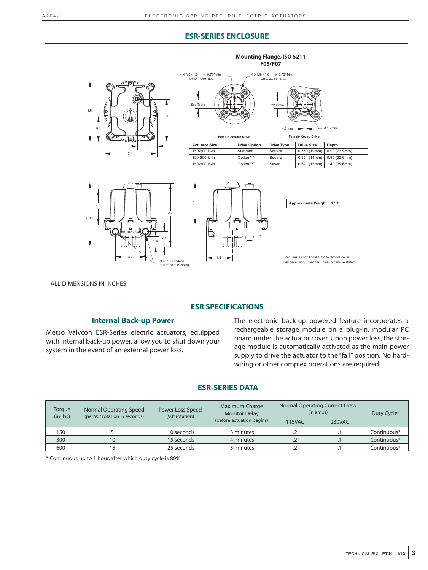#### **ESR-SERIES ENCLOSURE**



ALL DIMENSIONS IN INCHES

#### **ESR SPECIFICATIONS**

#### **Internal Back-up Power**

Metso Valvcon ESR-Series electric actuators, equipped with internal back-up power, allow you to shut down your system in the event of an external power loss.

The electronic back-up powered feature incorporates a rechargeable storage module on a plug-in, modular PC board under the actuator cover. Upon power loss, the storage module is automatically activated as the main power supply to drive the actuator to the "fail" position. No hardwiring or other complex operations are required.

#### **ESR-SERIES DATA**

| Torgue<br>(in lbs) | Normal Operating Speed<br>(per 90° rotation in seconds) | Power Loss Speed<br>(90° rotation) | Maximum Charge<br><b>Monitor Delay</b><br>(before actuation begins) | Normal Operating Current Draw<br>(in amps) |        | Duty Cycle* |
|--------------------|---------------------------------------------------------|------------------------------------|---------------------------------------------------------------------|--------------------------------------------|--------|-------------|
|                    |                                                         |                                    |                                                                     | <b>115VAC</b>                              | 230VAC |             |
| 150                |                                                         | 10 seconds                         | 3 minutes                                                           |                                            |        | Continuous* |
| 300                | 10                                                      | 15 seconds                         | 4 minutes                                                           |                                            |        | Continuous* |
| 600                |                                                         | 25 seconds                         | 5 minutes                                                           |                                            |        | Continuous* |

\* Continuous up to 1 hour, after which duty cycle is 80%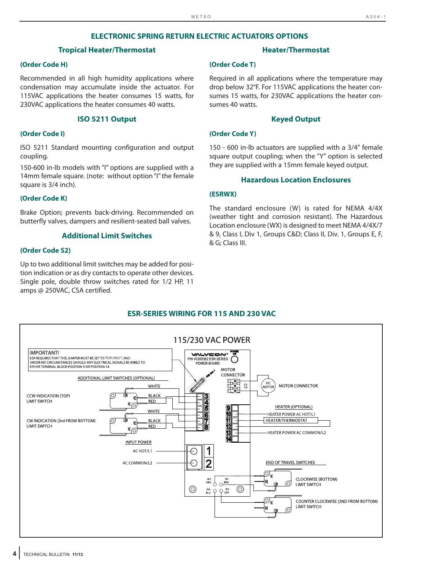#### **ELECTRONIC SPRING RETURN ELECTRIC ACTUATORS OPTIONS**

#### **Tropical Heater/Thermostat**

#### **(Order Code H)**

Recommended in all high humidity applications where condensation may accumulate inside the actuator. For 115VAC applications the heater consumes 15 watts, for 230VAC applications the heater consumes 40 watts.

#### **ISO 5211 Output**

#### **(Order Code I)**

ISO 5211 Standard mounting configuration and output coupling.

150-600 in-lb models with "I" options are supplied with a 14mm female square. (note: without option "I" the female square is 3/4 inch).

#### **(Order Code K)**

Brake Option; prevents back-driving. Recommended on butterfly valves, dampers and resilient-seated ball valves.

#### **Additional Limit Switches**

#### **(Order Code S2)**

Up to two additional limit switches may be added for position indication or as dry contacts to operate other devices. Single pole, double throw switches rated for 1/2 HP, 11 amps @ 250VAC, CSA certified.

#### **Heater/Thermostat**

#### **(Order Code T)**

Required in all applications where the temperature may drop below 32°F. For 115VAC applications the heater consumes 15 watts, for 230VAC applications the heater consumes 40 watts.

#### **Keyed Output**

#### **(Order Code Y)**

150 - 600 in-lb actuators are supplied with a 3/4" female square output coupling; when the "Y" option is selected they are supplied with a 15mm female keyed output.

#### **Hazardous Location Enclosures**

#### **(ESRWX)**

The standard enclosure (W) is rated for NEMA 4/4X (weather tight and corrosion resistant). The Hazardous Location enclosure (WX) is designed to meet NEMA 4/4X/7 & 9, Class I, Div 1, Groups C&D; Class II, Div. 1, Groups E, F, & G; Class III.



#### **4** TECHNICAL BULLETIN **11/13**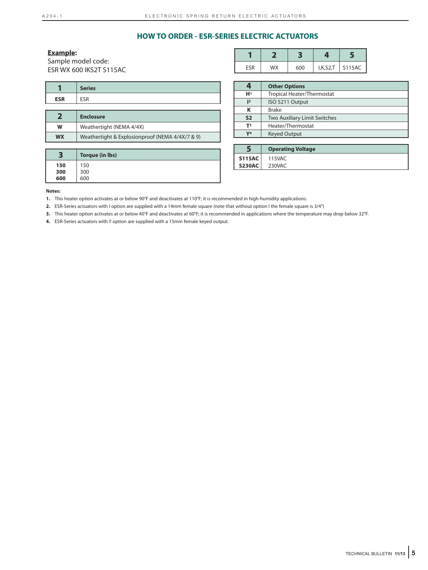#### **HOW TO ORDER - ESR-SERIES ELECTRIC ACTUATORS**

#### **Example:**

Sample model code: ESR WX 600 IKS2T S115AC

| ⊏CD | MΧ | 00 | I,K,S2,T | S115AC |
|-----|----|----|----------|--------|

|            | <b>Series</b> |
|------------|---------------|
| <b>ESR</b> | ECD           |
|            |               |

|           | <b>Enclosure</b>                                |
|-----------|-------------------------------------------------|
| W         | Weathertight (NEMA 4/4X)                        |
| <b>WX</b> | Weathertight & Explosionproof (NEMA 4/4X/7 & 9) |

| ∍<br>Э | Torque (in Ibs) |
|--------|-----------------|
| 150    | 150             |
| 300    | 300             |
| 600    | 600             |

|                | <b>Other Options</b>              |
|----------------|-----------------------------------|
| H <sup>1</sup> | <b>Tropical Heater/Thermostat</b> |
| 2              | ISO 5211 Output                   |
| κ              | <b>Brake</b>                      |
| S <sub>2</sub> | Two Auxiliary Limit Switches      |
| T <sup>3</sup> | Heater/Thermostat                 |
| V <sub>4</sub> | <b>Keyed Output</b>               |

|               | <b>Operating Voltage</b> |
|---------------|--------------------------|
| <b>S115AC</b> | 115VAC                   |
| <b>S230AC</b> | 230VAC                   |
|               |                          |

#### **Notes:**

**1.** This heater option activates at or below 90°F and deactivates at 110°F; it is recommended in high-humidity applications.

**2.** ESR-Series actuators with I option are supplied with a 14mm female square (note that without option I the female square is 3/4")

**3.** This heater option activates at or below 40°F and deactivates at 60°F; it is recommended in applications where the temperature may drop below 32°F.

**4.** ESR-Series actuators with Y option are supplied with a 15mm female keyed output.